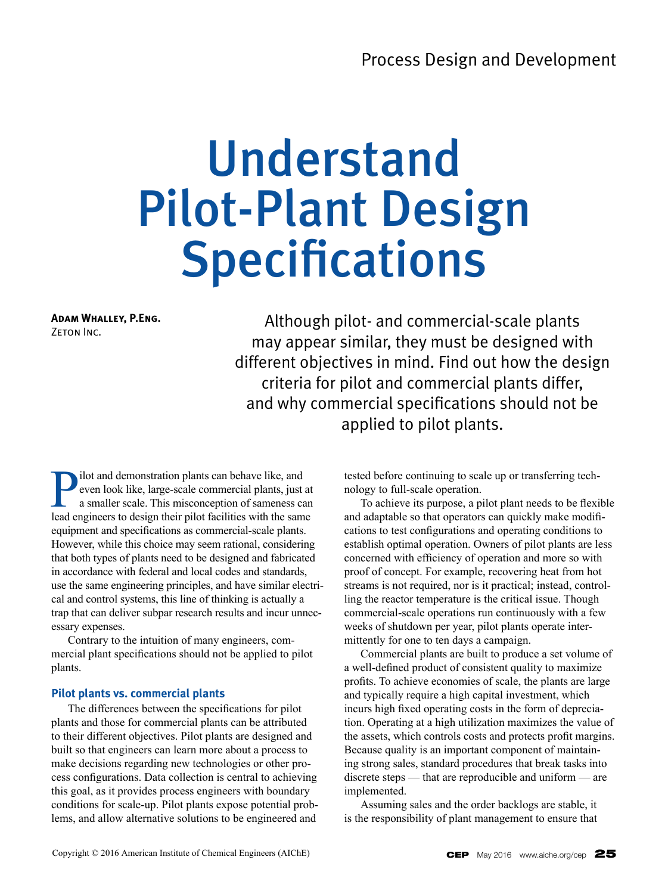# Understand Pilot-Plant Design Specifications

**Adam Whalley, P.Eng.** ZETON INC.

Although pilot- and commercial-scale plants may appear similar, they must be designed with different objectives in mind. Find out how the design criteria for pilot and commercial plants differ, and why commercial specifications should not be applied to pilot plants.

**Position** demonstration plants can behave like, and<br>even look like, large-scale commercial plants, just<br>a smaller scale. This misconception of sameness calead<br>engineers to design their pilot facilities with the same even look like, large-scale commercial plants, just at a smaller scale. This misconception of sameness can lead engineers to design their pilot facilities with the same equipment and specifications as commercial-scale plants. However, while this choice may seem rational, considering that both types of plants need to be designed and fabricated in accordance with federal and local codes and standards, use the same engineering principles, and have similar electrical and control systems, this line of thinking is actually a trap that can deliver subpar research results and incur unnecessary expenses.

Contrary to the intuition of many engineers, commercial plant specifications should not be applied to pilot plants.

# **Pilot plants vs. commercial plants**

The differences between the specifications for pilot plants and those for commercial plants can be attributed to their different objectives. Pilot plants are designed and built so that engineers can learn more about a process to make decisions regarding new technologies or other process configurations. Data collection is central to achieving this goal, as it provides process engineers with boundary conditions for scale-up. Pilot plants expose potential problems, and allow alternative solutions to be engineered and

tested before continuing to scale up or transferring technology to full-scale operation.

To achieve its purpose, a pilot plant needs to be flexible and adaptable so that operators can quickly make modifications to test configurations and operating conditions to establish optimal operation. Owners of pilot plants are less concerned with efficiency of operation and more so with proof of concept. For example, recovering heat from hot streams is not required, nor is it practical; instead, controlling the reactor temperature is the critical issue. Though commercial-scale operations run continuously with a few weeks of shutdown per year, pilot plants operate intermittently for one to ten days a campaign.

Commercial plants are built to produce a set volume of a well-defined product of consistent quality to maximize profits. To achieve economies of scale, the plants are large and typically require a high capital investment, which incurs high fixed operating costs in the form of depreciation. Operating at a high utilization maximizes the value of the assets, which controls costs and protects profit margins. Because quality is an important component of maintaining strong sales, standard procedures that break tasks into discrete steps — that are reproducible and uniform — are implemented.

Assuming sales and the order backlogs are stable, it is the responsibility of plant management to ensure that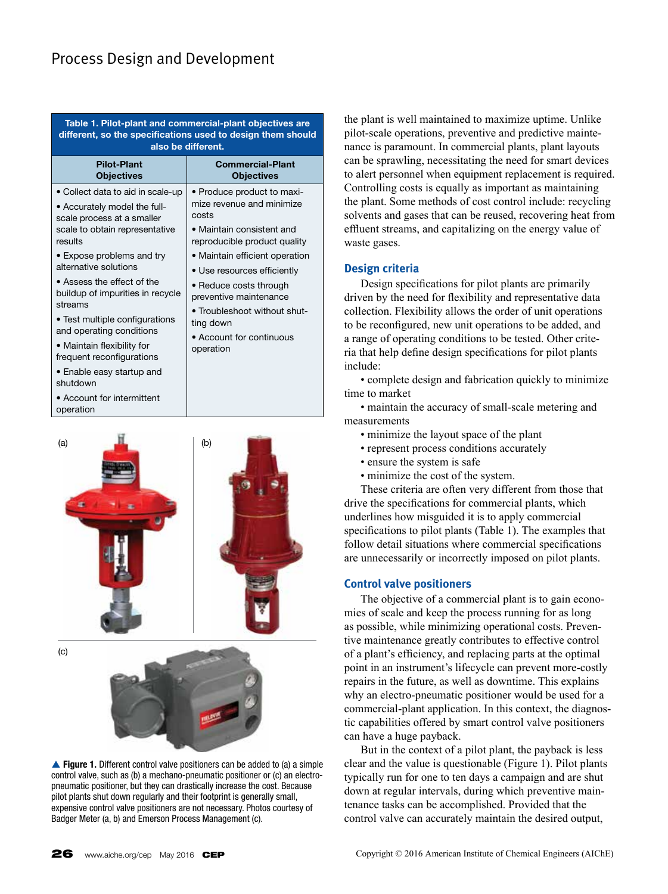# Process Design and Development

**Table 1. Pilot-plant and commercial-plant objectives are different, so the specifications used to design them should also be different.** 

| <b>Pilot-Plant</b><br><b>Objectives</b>                                                                                                                                                                                                                                                                                                                                                                                                                                         | <b>Commercial-Plant</b><br><b>Objectives</b>                                                                                                                                                                                                                                                                                             |
|---------------------------------------------------------------------------------------------------------------------------------------------------------------------------------------------------------------------------------------------------------------------------------------------------------------------------------------------------------------------------------------------------------------------------------------------------------------------------------|------------------------------------------------------------------------------------------------------------------------------------------------------------------------------------------------------------------------------------------------------------------------------------------------------------------------------------------|
| • Collect data to aid in scale-up<br>• Accurately model the full-<br>scale process at a smaller<br>scale to obtain representative<br>results<br>• Expose problems and try<br>alternative solutions<br>• Assess the effect of the<br>buildup of impurities in recycle<br>streams<br>• Test multiple configurations<br>and operating conditions<br>• Maintain flexibility for<br>frequent reconfigurations<br>• Enable easy startup and<br>shutdown<br>• Account for intermittent | • Produce product to maxi-<br>mize revenue and minimize<br>costs<br>• Maintain consistent and<br>reproducible product quality<br>• Maintain efficient operation<br>• Use resources efficiently<br>• Reduce costs through<br>preventive maintenance<br>• Troubleshoot without shut-<br>ting down<br>• Account for continuous<br>operation |
| operation                                                                                                                                                                                                                                                                                                                                                                                                                                                                       |                                                                                                                                                                                                                                                                                                                                          |



**▲ Figure 1.** Different control valve positioners can be added to (a) a simple control valve, such as (b) a mechano-pneumatic positioner or (c) an electropneumatic positioner, but they can drastically increase the cost. Because pilot plants shut down regularly and their footprint is generally small, expensive control valve positioners are not necessary. Photos courtesy of Badger Meter (a, b) and Emerson Process Management (c).

the plant is well maintained to maximize uptime. Unlike pilot-scale operations, preventive and predictive maintenance is paramount. In commercial plants, plant layouts can be sprawling, necessitating the need for smart devices to alert personnel when equipment replacement is required. Controlling costs is equally as important as maintaining the plant. Some methods of cost control include: recycling solvents and gases that can be reused, recovering heat from effluent streams, and capitalizing on the energy value of waste gases.

# **Design criteria**

Design specifications for pilot plants are primarily driven by the need for flexibility and representative data collection. Flexibility allows the order of unit operations to be reconfigured, new unit operations to be added, and a range of operating conditions to be tested. Other criteria that help define design specifications for pilot plants include:

• complete design and fabrication quickly to minimize time to market

• maintain the accuracy of small-scale metering and measurements

- minimize the layout space of the plant
- represent process conditions accurately
- ensure the system is safe
- minimize the cost of the system.

These criteria are often very different from those that drive the specifications for commercial plants, which underlines how misguided it is to apply commercial specifications to pilot plants (Table 1). The examples that follow detail situations where commercial specifications are unnecessarily or incorrectly imposed on pilot plants.

# **Control valve positioners**

The objective of a commercial plant is to gain economies of scale and keep the process running for as long as possible, while minimizing operational costs. Preventive maintenance greatly contributes to effective control of a plant's efficiency, and replacing parts at the optimal point in an instrument's lifecycle can prevent more-costly repairs in the future, as well as downtime. This explains why an electro-pneumatic positioner would be used for a commercial-plant application. In this context, the diagnostic capabilities offered by smart control valve positioners can have a huge payback.

But in the context of a pilot plant, the payback is less clear and the value is questionable (Figure 1). Pilot plants typically run for one to ten days a campaign and are shut down at regular intervals, during which preventive maintenance tasks can be accomplished. Provided that the control valve can accurately maintain the desired output,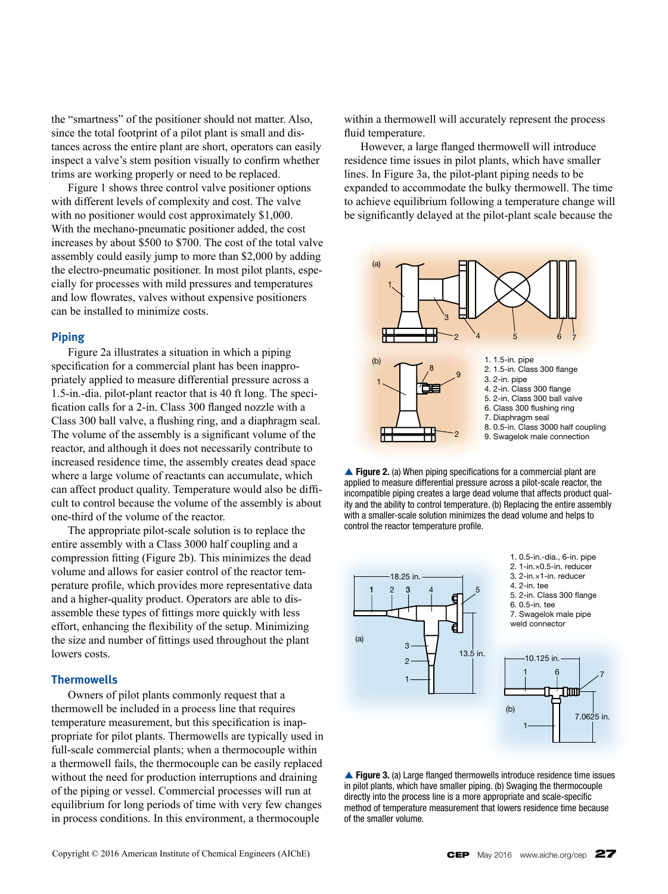the "smartness" of the positioner should not matter. Also, since the total footprint of a pilot plant is small and distances across the entire plant are short, operators can easily inspect a valve's stem position visually to confirm whether trims are working properly or need to be replaced.

Figure 1 shows three control valve positioner options with different levels of complexity and cost. The valve with no positioner would cost approximately \$1,000. With the mechano-pneumatic positioner added, the cost increases by about \$500 to \$700. The cost of the total valve assembly could easily jump to more than \$2,000 by adding the electro-pneumatic positioner. In most pilot plants, especially for processes with mild pressures and temperatures and low flowrates, valves without expensive positioners can be installed to minimize costs.

## **Piping**

Figure 2a illustrates a situation in which a piping specification for a commercial plant has been inappropriately applied to measure differential pressure across a 1.5-in.-dia. pilot-plant reactor that is 40 ft long. The specification calls for a 2-in. Class 300 flanged nozzle with a Class 300 ball valve, a flushing ring, and a diaphragm seal. The volume of the assembly is a significant volume of the reactor, and although it does not necessarily contribute to increased residence time, the assembly creates dead space where a large volume of reactants can accumulate, which can affect product quality. Temperature would also be difficult to control because the volume of the assembly is about one-third of the volume of the reactor.

The appropriate pilot-scale solution is to replace the entire assembly with a Class 3000 half coupling and a compression fitting (Figure 2b). This minimizes the dead volume and allows for easier control of the reactor temperature profile, which provides more representative data and a higher-quality product. Operators are able to disassemble these types of fittings more quickly with less effort, enhancing the flexibility of the setup. Minimizing the size and number of fittings used throughout the plant lowers costs.

#### **Thermowells**

Owners of pilot plants commonly request that a thermowell be included in a process line that requires temperature measurement, but this specification is inappropriate for pilot plants. Thermowells are typically used in full-scale commercial plants; when a thermocouple within a thermowell fails, the thermocouple can be easily replaced without the need for production interruptions and draining of the piping or vessel. Commercial processes will run at equilibrium for long periods of time with very few changes in process conditions. In this environment, a thermocouple

within a thermowell will accurately represent the process fluid temperature.

However, a large flanged thermowell will introduce residence time issues in pilot plants, which have smaller lines. In Figure 3a, the pilot-plant piping needs to be expanded to accommodate the bulky thermowell. The time to achieve equilibrium following a temperature change will be significantly delayed at the pilot-plant scale because the



**Figure 2.** (a) When piping specifications for a commercial plant are applied to measure differential pressure across a pilot-scale reactor, the incompatible piping creates a large dead volume that affects product quality and the ability to control temperature. (b) Replacing the entire assembly with a smaller-scale solution minimizes the dead volume and helps to control the reactor temperature profile.



**Figure 3.** (a) Large flanged thermowells introduce residence time issues in pilot plants, which have smaller piping. (b) Swaging the thermocouple directly into the process line is a more appropriate and scale-specific method of temperature measurement that lowers residence time because of the smaller volume.